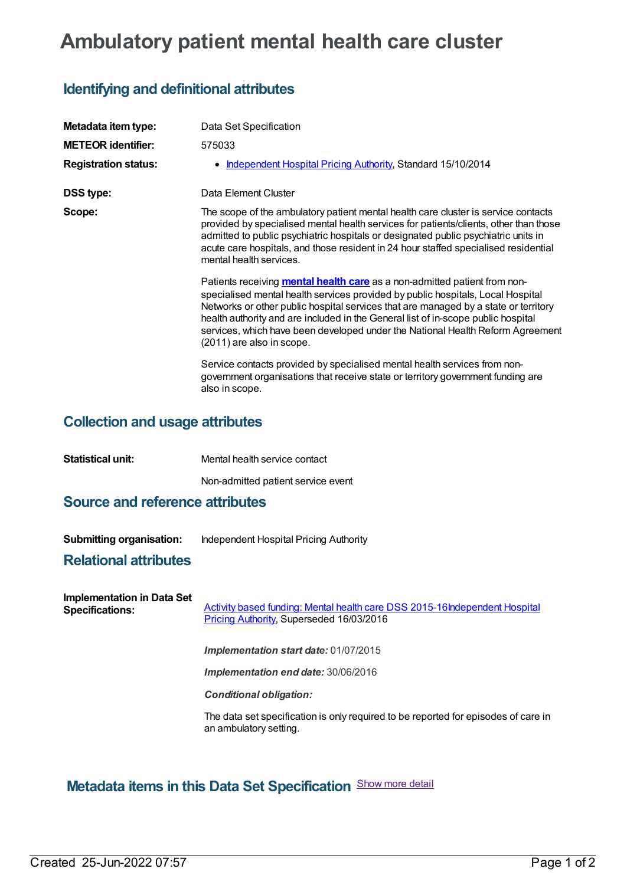# **Ambulatory patient mental health care cluster**

## **Identifying and definitional attributes**

| Metadata item type:         | Data Set Specification                                                                                                                                                                                                                                                                                                                                                                                                                                         |
|-----------------------------|----------------------------------------------------------------------------------------------------------------------------------------------------------------------------------------------------------------------------------------------------------------------------------------------------------------------------------------------------------------------------------------------------------------------------------------------------------------|
| <b>METEOR identifier:</b>   | 575033                                                                                                                                                                                                                                                                                                                                                                                                                                                         |
| <b>Registration status:</b> | • Independent Hospital Pricing Authority, Standard 15/10/2014                                                                                                                                                                                                                                                                                                                                                                                                  |
| <b>DSS type:</b>            | Data Element Cluster                                                                                                                                                                                                                                                                                                                                                                                                                                           |
| Scope:                      | The scope of the ambulatory patient mental health care cluster is service contacts<br>provided by specialised mental health services for patients/clients, other than those<br>admitted to public psychiatric hospitals or designated public psychiatric units in<br>acute care hospitals, and those resident in 24 hour staffed specialised residential<br>mental health services.                                                                            |
|                             | Patients receiving <b>mental health care</b> as a non-admitted patient from non-<br>specialised mental health services provided by public hospitals, Local Hospital<br>Networks or other public hospital services that are managed by a state or territory<br>health authority and are included in the General list of in-scope public hospital<br>services, which have been developed under the National Health Reform Agreement<br>(2011) are also in scope. |
|                             | Service contacts provided by specialised mental health services from non-<br>government organisations that receive state or territory government funding are<br>also in scope.                                                                                                                                                                                                                                                                                 |

# **Collection and usage attributes**

**Statistical unit:** Mental health service contact

Non-admitted patient service event

### **Source and reference attributes**

**Submitting organisation:** Independent Hospital Pricing Authority

#### **Relational attributes**

| <b>Implementation in Data Set</b><br><b>Specifications:</b> | Activity based funding: Mental health care DSS 2015-16 Independent Hospital<br>Pricing Authority, Superseded 16/03/2016 |
|-------------------------------------------------------------|-------------------------------------------------------------------------------------------------------------------------|
|                                                             | <b>Implementation start date: 01/07/2015</b>                                                                            |
|                                                             | <b>Implementation end date: 30/06/2016</b>                                                                              |
|                                                             | <b>Conditional obligation:</b>                                                                                          |
|                                                             | The data set specification is only required to be reported for episodes of care in<br>an ambulatory setting.            |

## **Metadata items in this Data Set Specification** Show more detail